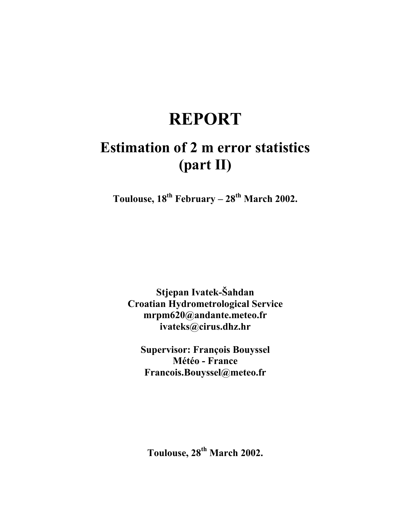# **REPORT**

# **Estimation of 2 m error statistics (part II)**

Toulouse,  $18^{th}$  February –  $28^{th}$  March 2002.

**Stjepan Ivatek-Šahdan Croatian Hydrometrological Service mrpm620@andante.meteo.fr ivateks@cirus.dhz.hr** 

**Supervisor: François Bouyssel Météo - France Francois.Bouyssel@meteo.fr** 

**Toulouse, 28th March 2002.**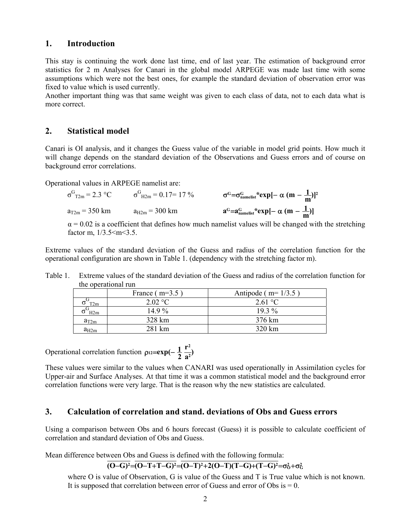#### **1. Introduction**

This stay is continuing the work done last time, end of last year. The estimation of background error statistics for 2 m Analyses for Canari in the global model ARPEGE was made last time with some assumptions which were not the best ones, for example the standard deviation of observation error was fixed to value which is used currently.

Another important thing was that same weight was given to each class of data, not to each data what is more correct.

#### **2. Statistical model**

Canari is OI analysis, and it changes the Guess value of the variable in model grid points. How much it will change depends on the standard deviation of the Observations and Guess errors and of course on background error correlations.

Operational values in ARPEGE namelist are:

$$
\sigma^{G}_{T2m} = 2.3 \text{ °C}
$$
\n $\sigma^{G}_{H2m} = 0.17 = 17 \text{ °C}$ \n $\sigma^{G} = \sigma^{G}_{\text{namelist}} \text{ * } \exp[-\alpha (m - \frac{1}{m})]^2$ \n  
\n $a_{T2m} = 350 \text{ km}$ \n $a_{H2m} = 300 \text{ km}$ \n $a^{G} = a_{\text{namelist}} \text{ * } \exp[-\alpha (m - \frac{1}{m})]$ 

 $\alpha$  = 0.02 is a coefficient that defines how much namelist values will be changed with the stretching factor m,  $1/3.5 \le m \le 3.5$ .

Extreme values of the standard deviation of the Guess and radius of the correlation function for the operational configuration are shown in Table 1. (dependency with the stretching factor m).

| uit optiaalongi run |                  |                        |  |
|---------------------|------------------|------------------------|--|
|                     | France $(m=3.5)$ | Antipode ( $m=1/3.5$ ) |  |
| T2m                 | 2.02 °C          | 2.61 °C                |  |
| H2m                 | 14 9 $\%$        | $193\%$                |  |
| $a_{T2m}$           | 328 km           | 376 km                 |  |
| $a_{H2m}$           | 281 km           | 320 km                 |  |

Table 1. Extreme values of the standard deviation of the Guess and radius of the correlation function for the operational run

Operational correlation function  $\rho_{12} = \exp(-\frac{1}{2} \frac{r^2}{a^2})$  $p_{12} = exp(-\frac{1}{2} \frac{r^2}{a^2})$ 

These values were similar to the values when CANARI was used operationally in Assimilation cycles for Upper-air and Surface Analyses. At that time it was a common statistical model and the background error correlation functions were very large. That is the reason why the new statistics are calculated.

#### **3. Calculation of correlation and stand. deviations of Obs and Guess errors**

Using a comparison between Obs and 6 hours forecast (Guess) it is possible to calculate coefficient of correlation and standard deviation of Obs and Guess.

Mean difference between Obs and Guess is defined with the following formula:

$$
\overline{(O-G)^2} = \overline{(O-T+T-G)^2} = \overline{(O-T)^2 + 2(O-T)(T-G)+(T-G)^2} = \sigma_0^2 + \sigma_G^2
$$

where O is value of Observation, G is value of the Guess and T is True value which is not known. It is supposed that correlation between error of Guess and error of Obs is  $= 0$ .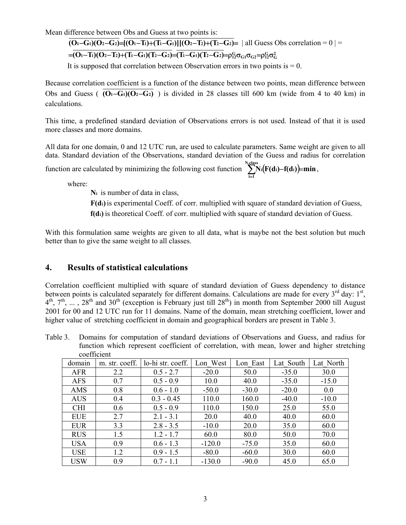Mean difference between Obs and Guess at two points is:

 $\overline{(O_1-G_1)(O_2-G_2)} = \overline{(O_1-T_1)+(T_1-G_1)}$ [ $(O_2-T_2)+(T_2-G_2)$ = | all Guess Obs correlation = 0 | =

 $\mathbf{C} = (O_1 - T_1)(O_2 - T_2) + (T_1 - G_1)(T_2 - G_2) = (T_1 - G_1)(T_2 - G_2) = \rho_{12}^G \sigma_{G1} \sigma_{G2} = \rho_{12}^G \sigma_G^2$ 

It is supposed that correlation between Observation errors in two points is  $= 0$ .

Because correlation coefficient is a function of the distance between two points, mean difference between Obs and Guess ( **(O1**−**G1)(O2**−**G2)** ) is divided in 28 classes till 600 km (wide from 4 to 40 km) in calculations.

This time, a predefined standard deviation of Observations errors is not used. Instead of that it is used more classes and more domains.

All data for one domain, 0 and 12 UTC run, are used to calculate parameters. Same weight are given to all data. Standard deviation of the Observations, standard deviation of the Guess and radius for correlation

function are calculated by minimizing the following cost function  $\sum_{n=1}^{N_{\text{class}}} N_i(F(d_i) - f(d_i))$  min  $\sum_{i=1}^{n} N_i (F(d_i) - f(d_i)) = \min$ ,

where:

**Ni** is number of data in class,

**F(di)**is experimental Coeff. of corr. multiplied with square of standard deviation of Guess,

**f(di)** is theoretical Coeff. of corr. multiplied with square of standard deviation of Guess.

With this formulation same weights are given to all data, what is maybe not the best solution but much better than to give the same weight to all classes.

### **4. Results of statistical calculations**

Correlation coefficient multiplied with square of standard deviation of Guess dependency to distance between points is calculated separately for different domains. Calculations are made for every  $3^{rd}$  day:  $1^{st}$ ,  $4<sup>th</sup>$ ,  $7<sup>th</sup>$ ,  $\ldots$ ,  $28<sup>th</sup>$  and  $30<sup>th</sup>$  (exception is February just till  $28<sup>th</sup>$ ) in month from September 2000 till August 2001 for 00 and 12 UTC run for 11 domains. Name of the domain, mean stretching coefficient, lower and higher value of stretching coefficient in domain and geographical borders are present in Table 3.

Table 3. Domains for computation of standard deviations of Observations and Guess, and radius for function which represent coefficient of correlation, with mean, lower and higher stretching coefficient

| domain     | m. str. coeff. | lo-hi str. coeff. | Lon West | Lon East | Lat South | Lat North |
|------------|----------------|-------------------|----------|----------|-----------|-----------|
| <b>AFR</b> | 2.2            | $0.5 - 2.7$       | $-20.0$  | 50.0     | $-35.0$   | 30.0      |
| <b>AFS</b> | 0.7            | $0.5 - 0.9$       | 10.0     | 40.0     | $-35.0$   | $-15.0$   |
| AMS        | 0.8            | $0.6 - 1.0$       | $-50.0$  | $-30.0$  | $-20.0$   | 0.0       |
| <b>AUS</b> | 0.4            | $0.3 - 0.45$      | 110.0    | 160.0    | $-40.0$   | $-10.0$   |
| <b>CHI</b> | 0.6            | $0.5 - 0.9$       | 110.0    | 150.0    | 25.0      | 55.0      |
| <b>EUE</b> | 2.7            | $2.1 - 3.1$       | 20.0     | 40.0     | 40.0      | 60.0      |
| <b>EUR</b> | 3.3            | $2.8 - 3.5$       | $-10.0$  | 20.0     | 35.0      | 60.0      |
| <b>RUS</b> | 1.5            | $1.2 - 1.7$       | 60.0     | 80.0     | 50.0      | 70.0      |
| <b>USA</b> | 0.9            | $0.6 - 1.3$       | $-120.0$ | $-75.0$  | 35.0      | 60.0      |
| <b>USE</b> | 1.2            | $0.9 - 1.5$       | $-80.0$  | $-60.0$  | 30.0      | 60.0      |
| <b>USW</b> | 0.9            | $0.7 - 1.1$       | $-130.0$ | $-90.0$  | 45.0      | 65.0      |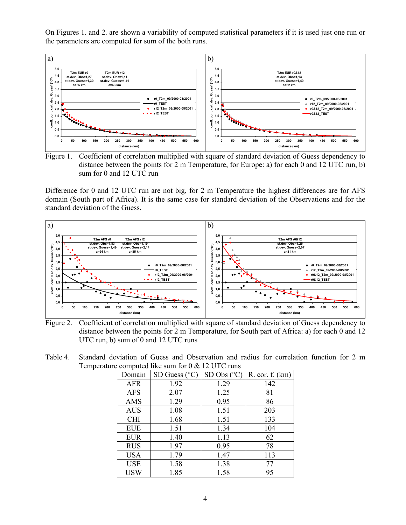On Figures 1. and 2. are shown a variability of computed statistical parameters if it is used just one run or the parameters are computed for sum of the both runs.





Difference for 0 and 12 UTC run are not big, for 2 m Temperature the highest differences are for AFS domain (South part of Africa). It is the same case for standard deviation of the Observations and for the standard deviation of the Guess.



Figure 2. Coefficient of correlation multiplied with square of standard deviation of Guess dependency to distance between the points for 2 m Temperature, for South part of Africa: a) for each 0 and 12 UTC run, b) sum of 0 and 12 UTC runs

Table 4. Standard deviation of Guess and Observation and radius for correlation function for 2 m Temperature computed like sum for 0 & 12 UTC runs

| Domain     | SD Guess $(^{\circ}C)$ | SD Obs (°C) | R. cor. f. (km) |
|------------|------------------------|-------------|-----------------|
| <b>AFR</b> | 1.92                   | 1.29        | 142             |
| <b>AFS</b> | 2.07                   | 1.25        | 81              |
| AMS        | 1.29                   | 0.95        | 86              |
| <b>AUS</b> | 1.08                   | 1.51        | 203             |
| <b>CHI</b> | 1.68                   | 1.51        | 133             |
| <b>EUE</b> | 1.51                   | 1.34        | 104             |
| <b>EUR</b> | 1.40                   | 1.13        | 62              |
| <b>RUS</b> | 1.97                   | 0.95        | 78              |
| <b>USA</b> | 1.79                   | 1.47        | 113             |
| <b>USE</b> | 1.58                   | 1.38        | 77              |
| <b>USW</b> | 1.85                   | 1.58        | 95              |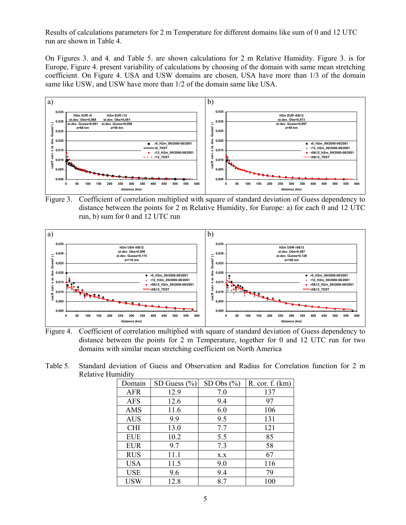Results of calculations parameters for 2 m Temperature for different domains like sum of 0 and 12 UTC run are shown in Table 4.

On Figures 3. and 4. and Table 5. are shown calculations for 2 m Relative Humidity. Figure 3. is for Europe, Figure 4. present variability of calculations by choosing of the domain with same mean stretching coefficient. On Figure 4. USA and USW domains are chosen, USA have more than 1/3 of the domain same like USW, and USW have more than 1/2 of the domain same like USA.



Figure 3. Coefficient of correlation multiplied with square of standard deviation of Guess dependency to distance between the points for 2 m Relative Humidity, for Europe: a) for each 0 and 12 UTC run, b) sum for 0 and 12 UTC run



Figure 4. Coefficient of correlation multiplied with square of standard deviation of Guess dependency to distance between the points for 2 m Temperature, together for 0 and 12 UTC run for two domains with similar mean stretching coefficient on North America

Table 5. Standard deviation of Guess and Observation and Radius for Correlation function for 2 m Relative Humidity

| Domain     | SD Guess $(\% )$ | SD Obs (%) | R. cor. f. (km) |
|------------|------------------|------------|-----------------|
| <b>AFR</b> | 12.9             | 7.0        | 137             |
| <b>AFS</b> | 12.6             | 9.4        | 97              |
| AMS        | 11.6             | 6.0        | 106             |
| <b>AUS</b> | 9.9              | 9.5        | 131             |
| <b>CHI</b> | 13.0             | 7.7        | 121             |
| <b>EUE</b> | 10.2             | 5.5        | 85              |
| <b>EUR</b> | 9.7              | 7.3        | 58              |
| <b>RUS</b> | 11.1             | X.X        | 67              |
| <b>USA</b> | 11.5             | 9.0        | 116             |
| <b>USE</b> | 9.6              | 9.4        | 79              |
| USW        | 12.8             | 8.7        | 100             |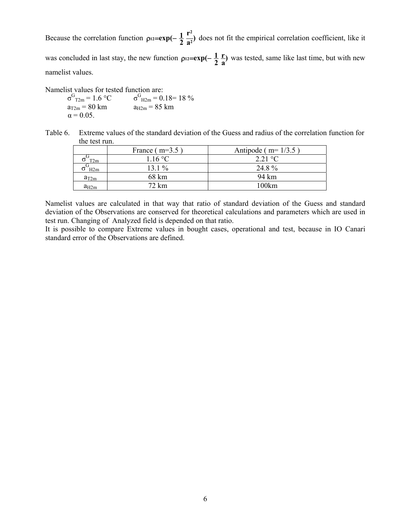Because the correlation function  $\rho_{12} = \exp(-\frac{1}{2} \frac{r^2}{a^2})$  $p_{12} = exp(-\frac{1}{2} \frac{r^2}{a^2})$  does not fit the empirical correlation coefficient, like it was concluded in last stay, the new function  $\rho_1 = \exp(-\frac{1}{2}\frac{r}{a})$ **r**  $p_{12} = exp(-\frac{1}{2}\frac{r}{a})$  was tested, same like last time, but with new namelist values.

Namelist values for tested function are:

 $\sigma$ <sup>G</sup><sub>T2m</sub> = 1.6 °C σ  $G_{\text{H2m}} = 0.18 = 18\%$  $a_{T2m} = 80 \text{ km}$   $a_{H2m} = 85 \text{ km}$  $\alpha$  = 0.05.

Table 6. Extreme values of the standard deviation of the Guess and radius of the correlation function for the test run.

|                 | France $(m=3.5)$ | Antipode ( $m=1/3.5$ ) |
|-----------------|------------------|------------------------|
| T <sub>2m</sub> | 1.16 °C          | $2.21 \text{ °C}$      |
| H2m             | $13.1\%$         | 24 8 %                 |
| $a_{T2m}$       | 68 km            | 94 km                  |
| $a_{H2m}$       | 72 km            | 100km                  |

Namelist values are calculated in that way that ratio of standard deviation of the Guess and standard deviation of the Observations are conserved for theoretical calculations and parameters which are used in test run. Changing of Analyzed field is depended on that ratio.

It is possible to compare Extreme values in bought cases, operational and test, because in IO Canari standard error of the Observations are defined.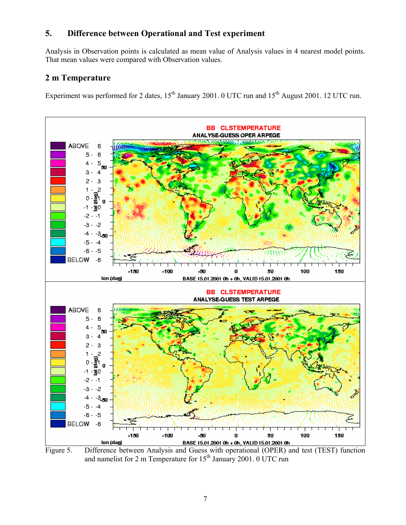### **5. Difference between Operational and Test experiment**

Analysis in Observation points is calculated as mean value of Analysis values in 4 nearest model points. That mean values were compared with Observation values.

## **2 m Temperature**

Experiment was performed for 2 dates,  $15^{th}$  January 2001. 0 UTC run and  $15^{th}$  August 2001. 12 UTC run.



Figure 5. Difference between Analysis and Guess with operational (OPER) and test (TEST) function and namelist for 2 m Temperature for  $15<sup>th</sup>$  January 2001. 0 UTC run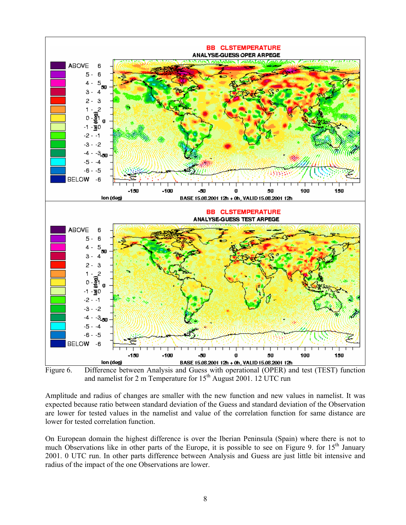

Figure 6. Difference between Analysis and Guess with operational (OPER) and test (TEST) function and namelist for 2 m Temperature for  $15<sup>th</sup>$  August 2001. 12 UTC run

Amplitude and radius of changes are smaller with the new function and new values in namelist. It was expected because ratio between standard deviation of the Guess and standard deviation of the Observation are lower for tested values in the namelist and value of the correlation function for same distance are lower for tested correlation function.

On European domain the highest difference is over the Iberian Peninsula (Spain) where there is not to much Observations like in other parts of the Europe, it is possible to see on Figure 9. for  $15<sup>th</sup>$  January 2001. 0 UTC run. In other parts difference between Analysis and Guess are just little bit intensive and radius of the impact of the one Observations are lower.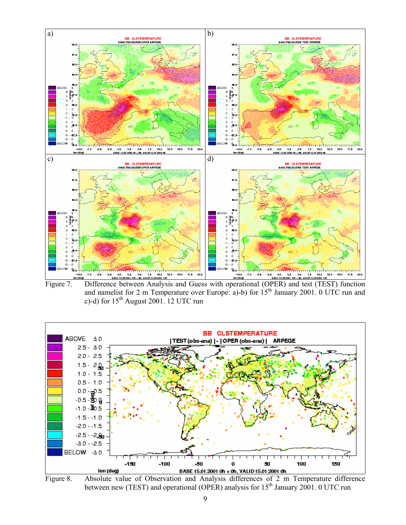

and namelist for 2 m Temperature over Europe: a)-b) for  $15<sup>th</sup>$  January 2001. 0 UTC run and c)-d) for  $15<sup>th</sup>$  August 2001. 12 UTC run



Figure 8. Absolute value of Observation and Analysis differences of 2 m Temperature difference between new (TEST) and operational (OPER) analysis for  $15<sup>th</sup>$  January 2001. 0 UTC run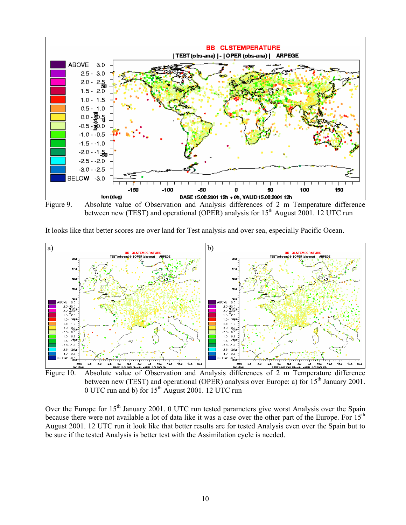

Figure 9. Absolute value of Observation and Analysis differences of 2 m Temperature difference between new (TEST) and operational (OPER) analysis for  $15<sup>th</sup>$  August 2001. 12 UTC run

It looks like that better scores are over land for Test analysis and over sea, especially Pacific Ocean.



Figure 10. Absolute value of Observation and Analysis differences of 2 m Temperature difference between new (TEST) and operational (OPER) analysis over Europe: a) for  $15^{th}$  January 2001. 0 UTC run and b) for  $15<sup>th</sup>$  August 2001. 12 UTC run

Over the Europe for 15<sup>th</sup> January 2001. 0 UTC run tested parameters give worst Analysis over the Spain because there were not available a lot of data like it was a case over the other part of the Europe. For 15<sup>th</sup> August 2001. 12 UTC run it look like that better results are for tested Analysis even over the Spain but to be sure if the tested Analysis is better test with the Assimilation cycle is needed.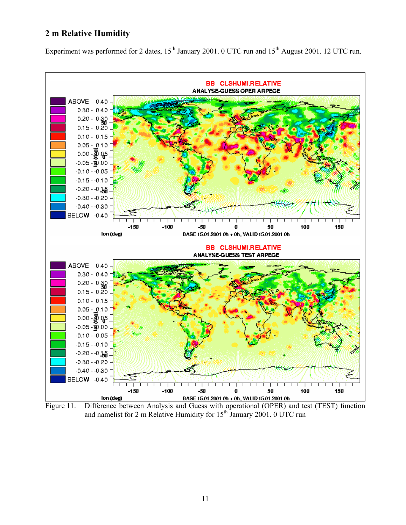#### **2 m Relative Humidity**

Experiment was performed for 2 dates, 15<sup>th</sup> January 2001. 0 UTC run and 15<sup>th</sup> August 2001. 12 UTC run.



Figure 11. Difference between Analysis and Guess with operational (OPER) and test (TEST) function and namelist for 2 m Relative Humidity for  $15^{th}$  January 2001. 0 UTC run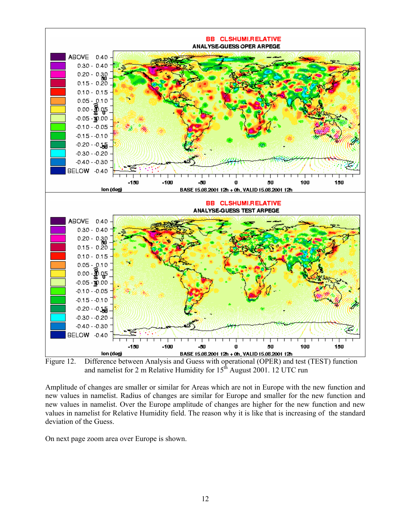

Figure 12. Difference between Analysis and Guess with operational (OPER) and test (TEST) function and namelist for 2 m Relative Humidity for  $15<sup>th</sup>$  August 2001. 12 UTC run

Amplitude of changes are smaller or similar for Areas which are not in Europe with the new function and new values in namelist. Radius of changes are similar for Europe and smaller for the new function and new values in namelist. Over the Europe amplitude of changes are higher for the new function and new values in namelist for Relative Humidity field. The reason why it is like that is increasing of the standard deviation of the Guess.

On next page zoom area over Europe is shown.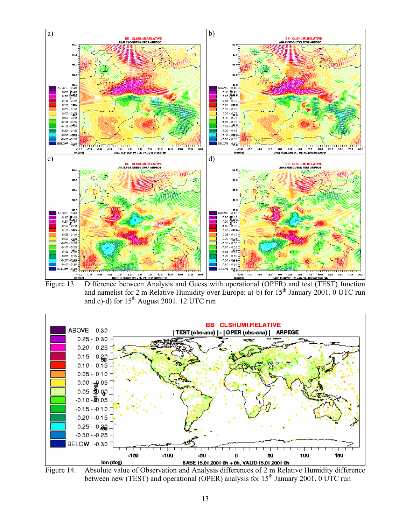

and namelist for 2 m Relative Humidity over Europe: a)-b) for  $15^{th}$  January 2001. 0 UTC run and c)-d) for  $15<sup>th</sup>$  August 2001. 12 UTC run



Figure 14. Absolute value of Observation and Analysis differences of 2 m Relative Humidity difference between new (TEST) and operational (OPER) analysis for  $15<sup>th</sup>$  January 2001. 0 UTC run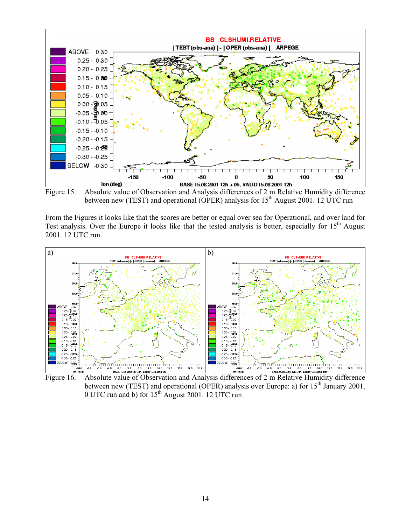

Figure 15. Absolute value of Observation and Analysis differences of 2 m Relative Humidity difference between new (TEST) and operational (OPER) analysis for  $15<sup>th</sup>$  August 2001. 12 UTC run

From the Figures it looks like that the scores are better or equal over sea for Operational, and over land for Test analysis. Over the Europe it looks like that the tested analysis is better, especially for  $15<sup>th</sup>$  August 2001. 12 UTC run.



Figure 16. Absolute value of Observation and Analysis differences of 2 m Relative Humidity difference between new (TEST) and operational (OPER) analysis over Europe: a) for  $15<sup>th</sup>$  January 2001. 0 UTC run and b) for  $15<sup>th</sup>$  August 2001. 12 UTC run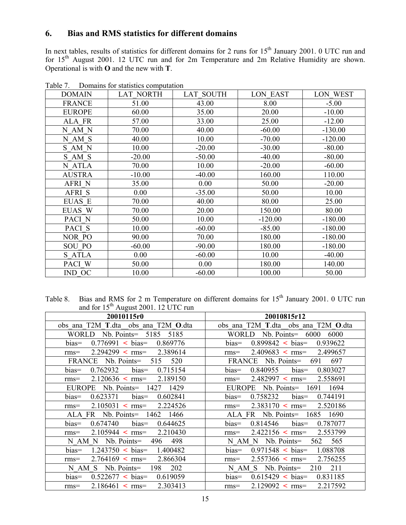# **6. Bias and RMS statistics for different domains**

In next tables, results of statistics for different domains for 2 runs for  $15<sup>th</sup>$  January 2001. 0 UTC run and for 15<sup>th</sup> August 2001. 12 UTC run and for 2m Temperature and 2m Relative Humidity are shown. Operational is with **O** and the new with **T**.

| <b>DOMAIN</b> | <b>LAT NORTH</b> | <b>LAT SOUTH</b> | LON EAST  | LON WEST  |
|---------------|------------------|------------------|-----------|-----------|
| <b>FRANCE</b> | 51.00            | 43.00            | 8.00      | $-5.00$   |
| <b>EUROPE</b> | 60.00            | 35.00            | 20.00     | $-10.00$  |
| ALA FR        | 57.00            | 33.00            | 25.00     | $-12.00$  |
| N AM N        | 70.00            | 40.00            | $-60.00$  | $-130.00$ |
| N AM S        | 40.00            | 10.00            | $-70.00$  | $-120.00$ |
| S AM N        | 10.00            | $-20.00$         | $-30.00$  | $-80.00$  |
| S AM S        | $-20.00$         | $-50.00$         | $-40.00$  | $-80.00$  |
| N ATLA        | 70.00            | 10.00            | $-20.00$  | $-60.00$  |
| <b>AUSTRA</b> | $-10.00$         | $-40.00$         | 160.00    | 110.00    |
| <b>AFRI N</b> | 35.00            | 0.00             | 50.00     | $-20.00$  |
| AFRI S        | 0.00             | $-35.00$         | 50.00     | 10.00     |
| <b>EUAS E</b> | 70.00            | 40.00            | 80.00     | 25.00     |
| EUAS W        | 70.00            | 20.00            | 150.00    | 80.00     |
| PACI N        | 50.00            | 10.00            | $-120.00$ | $-180.00$ |
| PACI S        | 10.00            | $-60.00$         | $-85.00$  | $-180.00$ |
| NOR PO        | 90.00            | 70.00            | 180.00    | $-180.00$ |
| <b>SOU PO</b> | $-60.00$         | $-90.00$         | 180.00    | $-180.00$ |
| S ATLA        | 0.00             | $-60.00$         | 10.00     | $-40.00$  |
| PACI W        | 50.00            | 0.00             | 180.00    | 140.00    |
| IND OC        | 10.00            | $-60.00$         | 100.00    | 50.00     |

Table 7. Domains for statistics computation

Table 8. Bias and RMS for 2 m Temperature on different domains for  $15<sup>th</sup>$  January 2001. 0 UTC run and for  $15^{th}$  August 2001. 12 UTC run

| 20010115r0                                         | 20010815r12                                        |
|----------------------------------------------------|----------------------------------------------------|
| obs ana T2M T.dta obs ana T2M O.dta                | obs ana T2M T.dta obs ana T2M O.dta                |
| WORLD Nb. Points = $5185$ 5185                     | WORLD Nb. Points = $6000$ $6000$                   |
| $0.776991 \leq bias = 0.869776$<br>$bias=$         | $0.899842 < bias = 0.939622$<br>$bias=$            |
| $2.294299$ < rms = 2.389614<br>$rms=$              | $2.409683$ < rms = 2.499657<br>$rms=$              |
| FRANCE Nb. Points = 515 520                        | FRANCE Nb. Points= 691 697                         |
| $0.762932$ bias=<br>0.715154<br>$bias =$           | $0.840955$ bias=<br>$bias =$<br>0.803027           |
| $2.120636$ < rms=<br>2.189150<br>$rms=$            | $2.482997 < \text{rms} =$<br>2.558691<br>$rms=$    |
| EUROPE Nb. Points= 1427 1429                       | EUROPE Nb. Points= 1691 1694                       |
| $0.623371$ bias $0.602841$<br>$bias =$             | $0.758232$ bias=<br>$bias =$<br>0.744191           |
| $2.105031 \leq \text{rms} =$<br>2.224526<br>$rms=$ | $2.383170 \leq \text{rms} =$<br>2.520186<br>$rms=$ |
| ALA FR Nb. Points= 1462 1466                       | FR Nb. Points = 1685 1690<br>ALA                   |
| $0.674740$ bias $0.644625$<br>$bias =$             | $0.814546$ bias=<br>$bias =$<br>0.787077           |
| 2.210430<br>$2.105944 \leq \text{rms} =$<br>$rms=$ | $2.422156$ < rms=<br>2.553799<br>$rms=$            |
| N AM N Nb. Points = 496 498                        | 562 565<br>$N$ AM $N$ Nb. Points=                  |
| $1.243750 < bias = 1.400482$<br>$bias=$            | $0.971548 < bias = 1.088708$<br>$bias =$           |
| 2.866304<br>$2.764169$ < rms=<br>$rms=$            | $2.557366$ < rms = 2.756255<br>$rms=$              |
| N AM S Nb. Points = 198 202                        | N AM S Nb. Points = 210 211                        |
| $0.522677 <$ bias=<br>0.619059<br>$bias=$          | $0.615429$ < bias = $0.831185$<br>$bias=$          |
| $2.186461 \le \text{rms} =$<br>2.303413<br>$rms=$  | $2.129092$ < rms = $2.217592$<br>$rms=$            |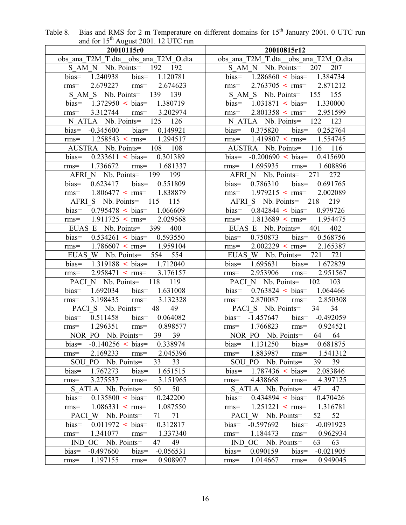| and for $15^{\circ}$ August 2001. 12 UTC run                   |                                                 |
|----------------------------------------------------------------|-------------------------------------------------|
| 20010115r0                                                     | 20010815r12                                     |
| obs ana T2M T.dta obs ana T2M O.dta                            | obs ana T2M T.dta obs ana T2M O.dta             |
| S AM N Nb. Points = 192 192                                    | $S$ AM N Nb. Points = 207<br>207                |
| 1.240938 bias= 1.120781<br>$bias =$                            | bias= $1.286860 < bias= 1.384734$               |
| 2.679227 rms= 2.674623<br>$rms=$                               | $2.763705$ < rms=<br>2.871212<br>$rms=$         |
| S AM S Nb. Points = 139 139                                    | S AM S Nb. Points = 155 155                     |
| bias= $1.372950 \leq \text{bias} = 1.380719$                   | bias= $1.031871$ < bias= $1.330000$             |
| 3.312744 rms= 3.202974<br>$rms=$                               | $2.801358$ < rms = 2.951599<br>$rms=$           |
| N ATLA Nb. Points = 125 126                                    | N ATLA Nb. Points = 122 123                     |
| $-0.345600$ bias $0.149921$<br>$bias=$                         | $0.375820$ bias=<br>0.252764<br>$bias=$         |
| $1.258543$ < rms = 1.294517<br>$rms=$                          | rms= $1.419807$ < rms= $1.554745$               |
| AUSTRA Nb. Points= 108 108                                     | AUSTRA Nb. Points= 116 116                      |
|                                                                | bias= $-0.200690 < bias= 0.415690$              |
| $0.233611 < bias = 0.301389$<br>$bias=$                        |                                                 |
| 1.736672 rms= 1.681337<br>$rms=$<br>AFRI N Nb. Points= 199 199 | 1.695935 rms= 1.608896<br>$rms=$                |
|                                                                | AFRI N Nb. Points = 271<br>272                  |
| 0.623417 bias= 0.551809<br>$bias =$                            | $bias=$<br>$0.786310$ bias=<br>0.691765         |
| $1.806477$ < rms = 1.838879<br>$rms=$                          | $1.979215$ < rms=<br>2.002089<br>$rms=$         |
| AFRI S Nb. Points = 115 115                                    | AFRI S Nb. Points = 218 219                     |
| $0.795478 < bias = 1.066609$<br>$bias =$                       | bias= $0.842844 \leq$ bias= $0.979726$          |
| $1.911725$ < rms = 2.029568<br>$rms=$                          | $1.813689$ < rms = 1.954475<br>$rms=$           |
| EUAS E Nb. Points = $399$<br>400                               | EUAS E Nb. Points = $401$<br>402                |
| $0.534261$ < bias = $0.593550$<br>$bias =$                     | $bias =$<br>$0.750873$ bias=<br>0.568756        |
| $1.786607$ < rms = 1.959104<br>$rms=$                          | $2.002229$ < rms=<br>2.165387<br>$rms=$         |
| EUAS W Nb. Points = $554$ 554                                  | EUAS W Nb. Points = 721<br>721                  |
| $1.319188$ < bias = 1.712040<br>$bias=$                        | 1.695631 bias= 1.672829<br>bias=                |
| $2.958471$ < rms = 3.176157<br>$rms=$                          | $2.953906$ rms=<br>2.951567<br>$rms=$           |
| PACI N Nb. Points= 118 119                                     | PACI N Nb. Points= 102 103                      |
| 1.692034 bias= 1.631008<br>bias=                               | bias= $0.763824 < bias= 1.064466$               |
| 3.198435 rms= 3.132328<br>$rms=$                               | $2.870087$ rms=<br>2.850308<br>$rms=$           |
| PACI S Nb. Points=<br>48<br>49                                 | PACI S Nb. Points=<br>34 34                     |
| 0.511458 bias= 0.064082<br>$bias =$                            | bias= $-1.457647$ bias= $-0.492059$             |
| 1.296351 rms= 0.898577<br>$rms=$                               | rms= $1.766823$ rms= $0.924521$                 |
| NOR PO Nb. Points= 39 39                                       | NOR PO Nb. Points=<br>64<br>64                  |
| 0.338974<br>$-0.140256$ < bias=<br>$bias=$                     | 1.131250<br>0.681875<br>$bias=$<br>$bias=$      |
| 2.169233<br>2.045396<br>$rms=$<br>$rms=$                       | 1.883987<br>1.541312<br>$rms=$<br>$rms=$        |
| SOU PO Nb. Points=<br>33<br>33                                 | SOU PO Nb. Points=<br>39<br>39                  |
| bias=<br>1.767273<br>bias=<br>1.651515                         | $1.787436$ < bias=<br>2.083846<br>$bias =$      |
| 3.275537<br>3.151965<br>$rms=$<br>$rms=$                       | 4.438668<br>4.397125<br>$rms=$<br>$rms=$        |
| S ATLA Nb. Points=<br>50<br>50                                 | S ATLA Nb. Points=<br>47<br>47                  |
| 0.242200<br>$0.135800 \leq \text{bias}$<br>$bias =$            | 0.434894 < bias<br>0.470426<br>$bias =$         |
| $1.086331 \leq \text{rms} =$<br>1.087550                       | $1.251221$ < rms=<br>1.316781                   |
| $rms=$                                                         | $rms=$                                          |
| PACI W Nb. Points=<br>71<br>71                                 | 52<br>PACI W Nb. Points=<br>52                  |
| $0.011972$ < bias=<br>0.312817<br>$bias=$                      | $-0.597692$<br>$-0.091923$<br>bias=<br>$bias=$  |
| 1.341077<br>1.337340<br>$rms=$<br>$rms=$                       | 1.184473<br>0.962934<br>$rms=$<br>$rms=$        |
| OC Nb. Points=<br><b>IND</b><br>47<br>49                       | IND OC Nb. Points=<br>63<br>63                  |
| $bias =$<br>$-0.497660$<br>$-0.056531$<br>$bias =$             | $bias =$<br>0.090159<br>$-0.021905$<br>$bias =$ |
| 1.197155<br>0.908907<br>$rms=$<br>$rms=$                       | 1.014667<br>0.949045<br>$rms=$<br>$rms=$        |

Table 8. Bias and RMS for 2 m Temperature on different domains for  $15<sup>th</sup>$  January 2001. 0 UTC run and for  $15<sup>th</sup>$  August 2001. 12 UTC run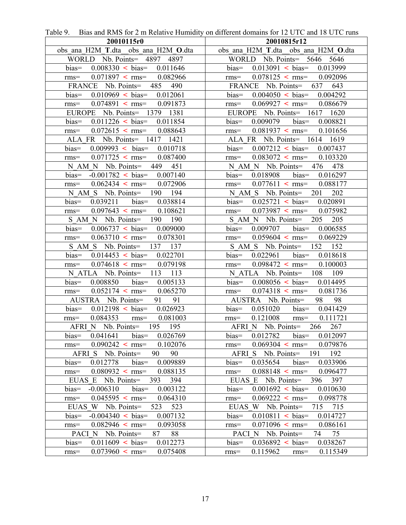| 20010115r0                                      | 20010815r12                                     |
|-------------------------------------------------|-------------------------------------------------|
| obs ana H2M T.dta obs ana H2M O.dta             | obs ana H2M T.dta obs ana H2M O.dta             |
| WORLD Nb. Points = 4897 4897                    | WORLD Nb. Points= 5646 5646                     |
| $bias =$<br>$0.008330 < bias = 0.011646$        | bias= $0.013091 \lt{bias} = 0.013999$           |
| $0.071897$ < rms = $0.082966$<br>$rms=$         | $0.078125$ < rms = $0.092096$<br>$rms=$         |
| FRANCE Nb. Points = 485 490                     | FRANCE Nb. Points= 637 643                      |
| bias= $0.010969$ < bias= $0.012061$             | bias= $0.004050 \leq \text{bias} = 0.004292$    |
| $0.074891 \leq \text{rms} = 0.091873$<br>$rms=$ | $0.069927 <$ rms= $0.086679$<br>$rms=$          |
| EUROPE Nb. Points= 1379 1381                    | EUROPE Nb. Points= 1617 1620                    |
| bias= $0.011226$ < bias= $0.011854$             | 0.009079 bias= 0.008821<br>$bias=$              |
| rms= $0.072615$ < rms= $0.088643$               | rms= $0.081937$ < rms= $0.101656$               |
| ALA FR Nb. Points = 1417 1421                   | ALA FR Nb. Points = 1614 1619                   |
| $0.009993$ < bias= $0.010718$<br>$bias=$        | $0.007212 < bias = 0.007437$<br>$bias=$         |
| $0.071725$ < rms = $0.087400$<br>$rms=$         | $0.083072$ < rms= $0.103320$<br>$rms=$          |
| N AM N Nb. Points = 449 451                     | N AM N Nb. Points = 476 478                     |
| bias= $-0.001782$ < bias= $0.007140$            | 0.018908 bias= 0.016297<br>$bias =$             |
| $0.062434 < \text{rms} = 0.072906$<br>$rms=$    | $0.077611$ < rms = $0.088177$<br>$rms=$         |
| N AM S Nb. Points = 190 194                     | N AM S Nb. Points = 201 202                     |
| bias= $0.039211$ bias= $0.038814$               | bias= $0.025721 \lt{bias} = 0.020891$           |
| $0.097643$ < rms = $0.108621$<br>$rms=$         | $0.073987$ < rms= $0.075982$<br>$rms=$          |
| S AM N Nb. Points = 190 190                     | $S$ AM N Nb. Points = 205 205                   |
| $0.006737 \leq bias = 0.009000$<br>$bias=$      | $0.009707$ bias $0.006585$<br>$bias=$           |
| $0.063710$ < rms= $0.078301$<br>$rms=$          | $0.059604 <$ rms= $0.069229$<br>$rms=$          |
| S AM S Nb. Points = 137 137                     | S AM S Nb. Points = 152 152                     |
| $0.014453$ < bias = $0.022701$<br>$bias=$       | $0.022961$ bias $0.018618$<br>$bias=$           |
| $0.074618$ < rms= $0.079198$<br>$rms=$          | $0.098472 <$ rms= $0.100003$<br>$rms=$          |
| N ATLA Nb. Points = 113 113                     | N ATLA Nb. Points= 108 109                      |
| 0.008850 bias= 0.005133<br>$bias =$             | bias= $0.008056$ < bias= $0.014495$             |
| $0.052174$ < rms= $0.065270$<br>$rms=$          | $0.074318$ < rms = $0.081736$<br>$rms=$         |
| AUSTRA Nb. Points = 91 91                       | 98<br>AUSTRA Nb. Points = 98                    |
| bias= $0.012198$ < bias= $0.026923$             | $0.051020$ bias $0.041429$<br>$bias=$           |
| 0.084353 rms= 0.081003<br>$rms=$                | $0.121008$ rms= $0.111721$<br>$rms=$            |
| AFRI N Nb. Points= 195 195                      | AFRI N Nb. Points= 266 267                      |
| $bias=$<br>0.041641<br>$bias=$<br>0.026769      | 0.012782<br>$bias=$<br>0.012097<br>bias=        |
| $0.090242 < \text{rms}$<br>0.102076<br>$rms=$   | $0.069304 < \text{rms} =$<br>0.079876<br>$rms=$ |
| 90<br>AFRI S Nb. Points=<br>90                  | AFRI S Nb. Points = 191 192                     |
| 0.012778<br>$bias =$<br>0.009889<br>bias=       | $bias =$<br>0.035654<br>$bias =$<br>0.033906    |
| $0.080932 < \text{rms}$<br>0.088135<br>$rms=$   | $0.088148 < \text{rms} =$<br>0.096477<br>$rms=$ |
| EUAS E Nb. Points = $393$<br>394                | EUAS E Nb. Points=<br>396 397                   |
| $-0.006310$<br>$bias =$<br>0.003122<br>$bias=$  | $0.001692$ < bias=<br>0.010630<br>$bias=$       |
| $0.045595$ < rms=<br>0.064310<br>$rms=$         | $0.069222 <$ rms=<br>0.098778<br>$rms=$         |
| EUAS W Nb. Points=<br>523<br>523                | EUAS W Nb. Points=<br>715<br>715                |
| $-0.004340 < bias$<br>0.007132<br>$bias =$      | $0.010811$ < bias=<br>$bias =$<br>0.014727      |
| $0.082946$ < rms=<br>0.093058<br>$rms=$         | $0.071096$ < rms=<br>0.086161<br>$rms=$         |
| 88<br>PACI N Nb. Points=<br>87                  | 75<br>PACI N Nb. Points=<br>74                  |
| $0.011609$ < bias=<br>0.012273<br>$bias=$       | 0.036892 < bias<br>0.038267<br>$bias=$          |
| 0.075408<br>$0.073960 < \text{rms} =$<br>$rms=$ | 0.115962<br>0.115349<br>$rms=$<br>$rms=$        |

Table 9. Bias and RMS for 2 m Relative Humidity on different domains for 12 UTC and 18 UTC runs